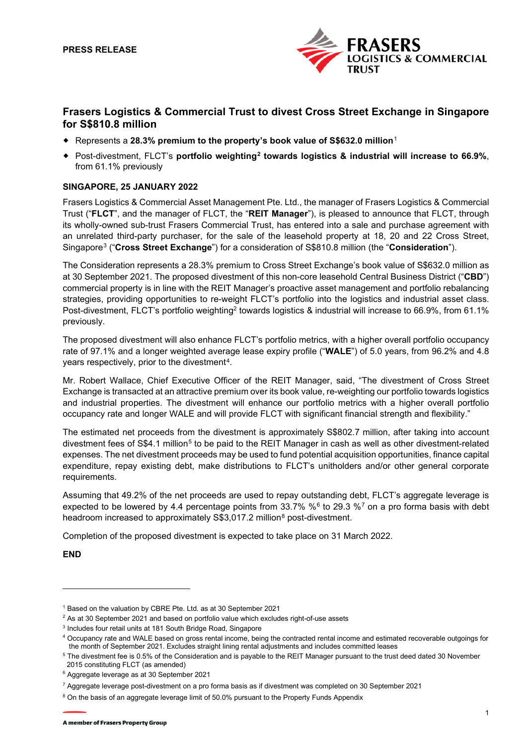

# **Frasers Logistics & Commercial Trust to divest Cross Street Exchange in Singapore for S\$810.8 million**

- Represents a **28.3% premium to the property's book value of S\$632.0 million**[1](#page-0-0)
- Post-divestment, FLCT's **portfolio weighting[2](#page-0-1) towards logistics & industrial will increase to 66.9%**, from 61.1% previously

# **SINGAPORE, 25 JANUARY 2022**

Frasers Logistics & Commercial Asset Management Pte. Ltd., the manager of Frasers Logistics & Commercial Trust ("**FLCT**", and the manager of FLCT, the "**REIT Manager**"), is pleased to announce that FLCT, through its wholly-owned sub-trust Frasers Commercial Trust, has entered into a sale and purchase agreement with an unrelated third-party purchaser, for the sale of the leasehold property at 18, 20 and 22 Cross Street, Singapore[3](#page-0-2) ("**Cross Street Exchange**") for a consideration of S\$810.8 million (the "**Consideration**").

The Consideration represents a 28.3% premium to Cross Street Exchange's book value of S\$632.0 million as at 30 September 2021. The proposed divestment of this non-core leasehold Central Business District ("**CBD**") commercial property is in line with the REIT Manager's proactive asset management and portfolio rebalancing strategies, providing opportunities to re-weight FLCT's portfolio into the logistics and industrial asset class. Post-divestment, FLCT's portfolio weighting<sup>2</sup> towards logistics & industrial will increase to 66.9%, from 61.1% previously.

The proposed divestment will also enhance FLCT's portfolio metrics, with a higher overall portfolio occupancy rate of 97.1% and a longer weighted average lease expiry profile ("**WALE**") of 5.0 years, from 96.2% and 4.8 years respectively, prior to the divestment<sup>4</sup>.

Mr. Robert Wallace, Chief Executive Officer of the REIT Manager, said, "The divestment of Cross Street Exchange is transacted at an attractive premium over its book value, re-weighting our portfolio towards logistics and industrial properties. The divestment will enhance our portfolio metrics with a higher overall portfolio occupancy rate and longer WALE and will provide FLCT with significant financial strength and flexibility."

The estimated net proceeds from the divestment is approximately S\$802.7 million, after taking into account divestment fees of S\$4.1 million<sup>[5](#page-0-4)</sup> to be paid to the REIT Manager in cash as well as other divestment-related expenses. The net divestment proceeds may be used to fund potential acquisition opportunities, finance capital expenditure, repay existing debt, make distributions to FLCT's unitholders and/or other general corporate requirements.

Assuming that 49.2% of the net proceeds are used to repay outstanding debt, FLCT's aggregate leverage is expected to be lowered by 4.4 percentage points from 33.[7](#page-0-6)% % $6$  to 29.3 % $7$  on a pro forma basis with debt headroom increased to approximately S\$3,017.2 million<sup>[8](#page-0-7)</sup> post-divestment.

Completion of the proposed divestment is expected to take place on 31 March 2022.

**END**

<span id="page-0-0"></span><sup>1</sup> Based on the valuation by CBRE Pte. Ltd. as at 30 September 2021

<span id="page-0-1"></span> $2$  As at 30 September 2021 and based on portfolio value which excludes right-of-use assets

<span id="page-0-2"></span><sup>3</sup> Includes four retail units at 181 South Bridge Road, Singapore

<span id="page-0-3"></span><sup>4</sup> Occupancy rate and WALE based on gross rental income, being the contracted rental income and estimated recoverable outgoings for the month of September 2021. Excludes straight lining rental adjustments and includes committed leases

<span id="page-0-4"></span><sup>&</sup>lt;sup>5</sup> The divestment fee is 0.5% of the Consideration and is payable to the REIT Manager pursuant to the trust deed dated 30 November 2015 constituting FLCT (as amended)

<span id="page-0-5"></span><sup>6</sup> Aggregate leverage as at 30 September 2021

<span id="page-0-6"></span><sup>7</sup> Aggregate leverage post-divestment on a pro forma basis as if divestment was completed on 30 September 2021

<span id="page-0-7"></span><sup>&</sup>lt;sup>8</sup> On the basis of an aggregate leverage limit of 50.0% pursuant to the Property Funds Appendix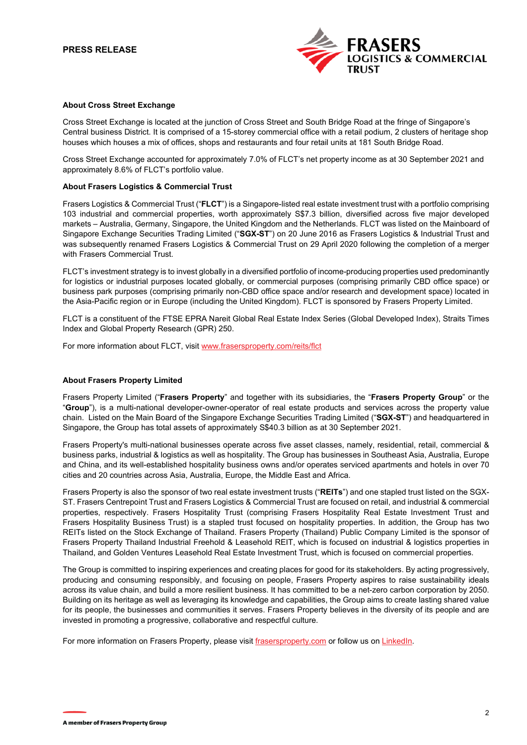## **PRESS RELEASE**



#### **About Cross Street Exchange**

Cross Street Exchange is located at the junction of Cross Street and South Bridge Road at the fringe of Singapore's Central business District. It is comprised of a 15-storey commercial office with a retail podium, 2 clusters of heritage shop houses which houses a mix of offices, shops and restaurants and four retail units at 181 South Bridge Road.

Cross Street Exchange accounted for approximately 7.0% of FLCT's net property income as at 30 September 2021 and approximately 8.6% of FLCT's portfolio value.

#### **About Frasers Logistics & Commercial Trust**

Frasers Logistics & Commercial Trust ("**FLCT**") is a Singapore-listed real estate investment trust with a portfolio comprising 103 industrial and commercial properties, worth approximately S\$7.3 billion, diversified across five major developed markets – Australia, Germany, Singapore, the United Kingdom and the Netherlands. FLCT was listed on the Mainboard of Singapore Exchange Securities Trading Limited ("**SGX-ST**") on 20 June 2016 as Frasers Logistics & Industrial Trust and was subsequently renamed Frasers Logistics & Commercial Trust on 29 April 2020 following the completion of a merger with Frasers Commercial Trust.

FLCT's investment strategy is to invest globally in a diversified portfolio of income-producing properties used predominantly for logistics or industrial purposes located globally, or commercial purposes (comprising primarily CBD office space) or business park purposes (comprising primarily non-CBD office space and/or research and development space) located in the Asia-Pacific region or in Europe (including the United Kingdom). FLCT is sponsored by Frasers Property Limited.

FLCT is a constituent of the FTSE EPRA Nareit Global Real Estate Index Series (Global Developed Index), Straits Times Index and Global Property Research (GPR) 250.

For more information about FLCT, visi[t www.frasersproperty.com/reits/flct](http://www.frasersproperty.com/reits/flct)

#### **About Frasers Property Limited**

Frasers Property Limited ("**Frasers Property**" and together with its subsidiaries, the "**Frasers Property Group**" or the "**Group**"), is a multi-national developer-owner-operator of real estate products and services across the property value chain. Listed on the Main Board of the Singapore Exchange Securities Trading Limited ("**SGX-ST**") and headquartered in Singapore, the Group has total assets of approximately S\$40.3 billion as at 30 September 2021.

Frasers Property's multi-national businesses operate across five asset classes, namely, residential, retail, commercial & business parks, industrial & logistics as well as hospitality. The Group has businesses in Southeast Asia, Australia, Europe and China, and its well-established hospitality business owns and/or operates serviced apartments and hotels in over 70 cities and 20 countries across Asia, Australia, Europe, the Middle East and Africa.

Frasers Property is also the sponsor of two real estate investment trusts ("**REITs**") and one stapled trust listed on the SGX-ST. Frasers Centrepoint Trust and Frasers Logistics & Commercial Trust are focused on retail, and industrial & commercial properties, respectively. Frasers Hospitality Trust (comprising Frasers Hospitality Real Estate Investment Trust and Frasers Hospitality Business Trust) is a stapled trust focused on hospitality properties. In addition, the Group has two REITs listed on the Stock Exchange of Thailand. Frasers Property (Thailand) Public Company Limited is the sponsor of Frasers Property Thailand Industrial Freehold & Leasehold REIT, which is focused on industrial & logistics properties in Thailand, and Golden Ventures Leasehold Real Estate Investment Trust, which is focused on commercial properties.

The Group is committed to inspiring experiences and creating places for good for its stakeholders. By acting progressively, producing and consuming responsibly, and focusing on people, Frasers Property aspires to raise sustainability ideals across its value chain, and build a more resilient business. It has committed to be a net-zero carbon corporation by 2050. Building on its heritage as well as leveraging its knowledge and capabilities, the Group aims to create lasting shared value for its people, the businesses and communities it serves. Frasers Property believes in the diversity of its people and are invested in promoting a progressive, collaborative and respectful culture.

For more information on Frasers Property, please visi[t frasersproperty.com](https://frasersproperty.com/) or follow us o[n LinkedIn.](https://www.linkedin.com/company/frasers-property-limited/mycompany/)